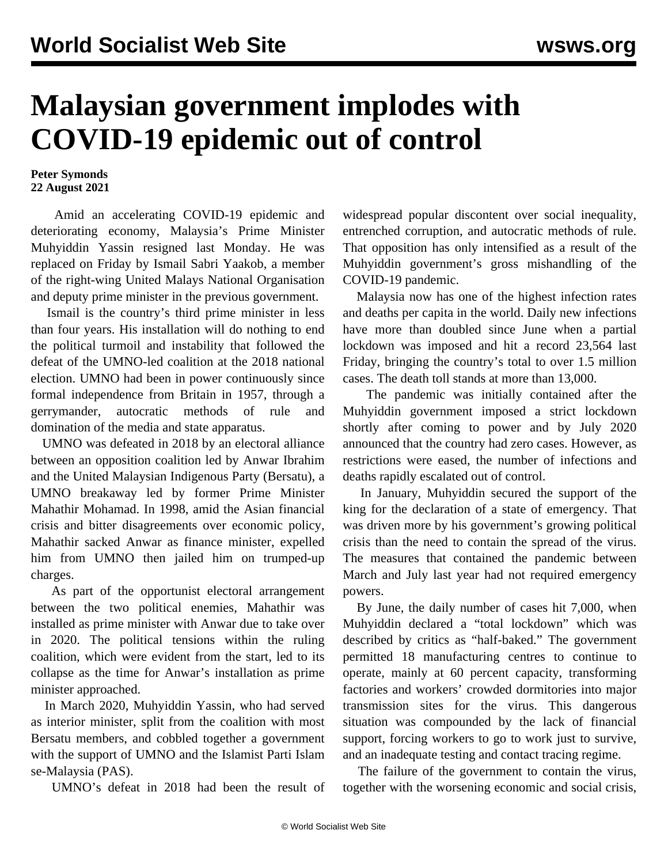## **Malaysian government implodes with COVID-19 epidemic out of control**

## **Peter Symonds 22 August 2021**

 Amid an accelerating COVID-19 epidemic and deteriorating economy, Malaysia's Prime Minister Muhyiddin Yassin resigned last Monday. He was replaced on Friday by Ismail Sabri Yaakob, a member of the right-wing United Malays National Organisation and deputy prime minister in the previous government.

 Ismail is the country's third prime minister in less than four years. His installation will do nothing to end the political turmoil and instability that followed the defeat of the UMNO-led coalition at the 2018 national election. UMNO had been in power continuously since formal independence from Britain in 1957, through a gerrymander, autocratic methods of rule and domination of the media and state apparatus.

 UMNO was defeated in 2018 by an electoral alliance between an opposition coalition led by Anwar Ibrahim and the United Malaysian Indigenous Party (Bersatu), a UMNO breakaway led by former Prime Minister Mahathir Mohamad. In 1998, amid the Asian financial crisis and bitter disagreements over economic policy, Mahathir sacked Anwar as finance minister, expelled him from UMNO then jailed him on trumped-up charges.

 As part of the opportunist electoral arrangement between the two political enemies, Mahathir was installed as prime minister with Anwar due to take over in 2020. The political tensions within the ruling coalition, which were evident from the start, led to its collapse as the time for Anwar's installation as prime minister approached.

 In March 2020, Muhyiddin Yassin, who had served as interior minister, split from the coalition with most Bersatu members, and cobbled together a government with the support of UMNO and the Islamist Parti Islam se-Malaysia (PAS).

UMNO's defeat in 2018 had been the result of

widespread popular discontent over social inequality, entrenched corruption, and autocratic methods of rule. That opposition has only intensified as a result of the Muhyiddin government's gross mishandling of the COVID-19 pandemic.

 Malaysia now has one of the highest infection rates and deaths per capita in the world. Daily new infections have more than doubled since June when a partial lockdown was imposed and hit a record 23,564 last Friday, bringing the country's total to over 1.5 million cases. The death toll stands at more than 13,000.

 The pandemic was initially contained after the Muhyiddin government imposed a strict lockdown shortly after coming to power and by July 2020 announced that the country had zero cases. However, as restrictions were eased, the number of infections and deaths rapidly escalated out of control.

 In January, Muhyiddin secured the support of the king for the declaration of a state of emergency. That was driven more by his government's growing political crisis than the need to contain the spread of the virus. The measures that contained the pandemic between March and July last year had not required emergency powers.

 By June, the daily number of cases hit 7,000, when Muhyiddin declared a "total lockdown" which was described by critics as "half-baked." The government permitted 18 manufacturing centres to continue to operate, mainly at 60 percent capacity, transforming factories and workers' crowded dormitories into major transmission sites for the virus. This dangerous situation was compounded by the lack of financial support, forcing workers to go to work just to survive, and an inadequate testing and contact tracing regime.

 The failure of the government to contain the virus, together with the worsening economic and social crisis,